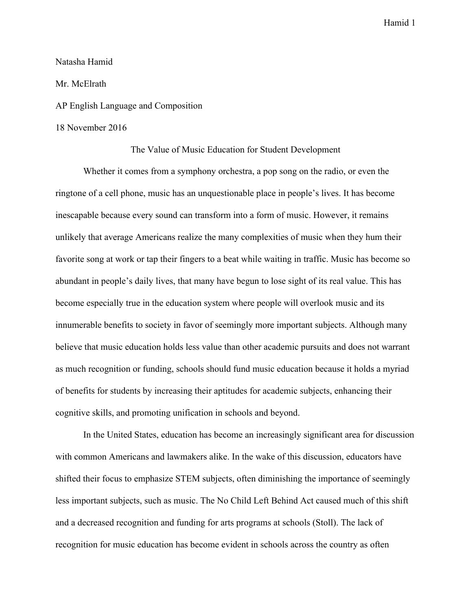### Natasha Hamid

### Mr. McElrath

## AP English Language and Composition

## 18 November 2016

The Value of Music Education for Student Development

Whether it comes from a symphony orchestra, a pop song on the radio, or even the ringtone of a cell phone, music has an unquestionable place in people's lives. It has become inescapable because every sound can transform into a form of music. However, it remains unlikely that average Americans realize the many complexities of music when they hum their favorite song at work or tap their fingers to a beat while waiting in traffic. Music has become so abundant in people's daily lives, that many have begun to lose sight of its real value. This has become especially true in the education system where people will overlook music and its innumerable benefits to society in favor of seemingly more important subjects. Although many believe that music education holds less value than other academic pursuits and does not warrant as much recognition or funding, schools should fund music education because it holds a myriad of benefits for students by increasing their aptitudes for academic subjects, enhancing their cognitive skills, and promoting unification in schools and beyond.

In the United States, education has become an increasingly significant area for discussion with common Americans and lawmakers alike. In the wake of this discussion, educators have shifted their focus to emphasize STEM subjects, often diminishing the importance of seemingly less important subjects, such as music. The No Child Left Behind Act caused much of this shift and a decreased recognition and funding for arts programs at schools (Stoll). The lack of recognition for music education has become evident in schools across the country as often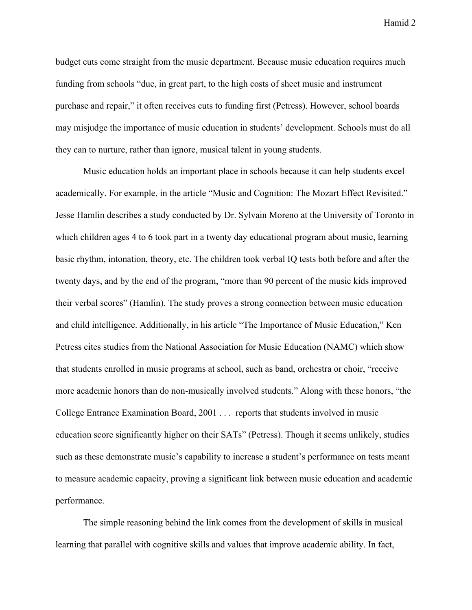budget cuts come straight from the music department. Because music education requires much funding from schools "due, in great part, to the high costs of sheet music and instrument purchase and repair," it often receives cuts to funding first (Petress). However, school boards may misjudge the importance of music education in students' development. Schools must do all they can to nurture, rather than ignore, musical talent in young students.

Music education holds an important place in schools because it can help students excel academically. For example, in the article "Music and Cognition: The Mozart Effect Revisited." Jesse Hamlin describes a study conducted by Dr. Sylvain Moreno at the University of Toronto in which children ages 4 to 6 took part in a twenty day educational program about music, learning basic rhythm, intonation, theory, etc. The children took verbal IQ tests both before and after the twenty days, and by the end of the program, "more than 90 percent of the music kids improved their verbal scores" (Hamlin). The study proves a strong connection between music education and child intelligence. Additionally, in his article "The Importance of Music Education," Ken Petress cites studies from the National Association for Music Education (NAMC) which show that students enrolled in music programs at school, such as band, orchestra or choir, "receive more academic honors than do non-musically involved students." Along with these honors, "the College Entrance Examination Board, 2001 . . . reports that students involved in music education score significantly higher on their SATs" (Petress). Though it seems unlikely, studies such as these demonstrate music's capability to increase a student's performance on tests meant to measure academic capacity, proving a significant link between music education and academic performance.

The simple reasoning behind the link comes from the development of skills in musical learning that parallel with cognitive skills and values that improve academic ability. In fact,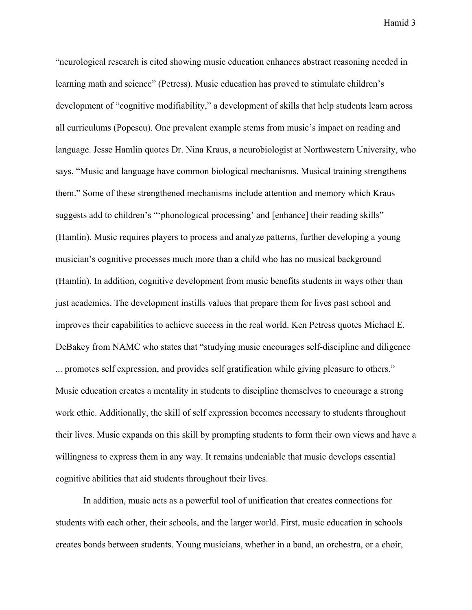"neurological research is cited showing music education enhances abstract reasoning needed in learning math and science" (Petress). Music education has proved to stimulate children's development of "cognitive modifiability," a development of skills that help students learn across all curriculums (Popescu). One prevalent example stems from music's impact on reading and language. Jesse Hamlin quotes Dr. Nina Kraus, a neurobiologist at Northwestern University, who says, "Music and language have common biological mechanisms. Musical training strengthens them." Some of these strengthened mechanisms include attention and memory which Kraus suggests add to children's "'phonological processing' and [enhance] their reading skills" (Hamlin). Music requires players to process and analyze patterns, further developing a young musician's cognitive processes much more than a child who has no musical background (Hamlin). In addition, cognitive development from music benefits students in ways other than just academics. The development instills values that prepare them for lives past school and improves their capabilities to achieve success in the real world. Ken Petress quotes Michael E. DeBakey from NAMC who states that "studying music encourages self-discipline and diligence ... promotes self expression, and provides self gratification while giving pleasure to others." Music education creates a mentality in students to discipline themselves to encourage a strong work ethic. Additionally, the skill of self expression becomes necessary to students throughout their lives. Music expands on this skill by prompting students to form their own views and have a willingness to express them in any way. It remains undeniable that music develops essential cognitive abilities that aid students throughout their lives.

In addition, music acts as a powerful tool of unification that creates connections for students with each other, their schools, and the larger world. First, music education in schools creates bonds between students. Young musicians, whether in a band, an orchestra, or a choir,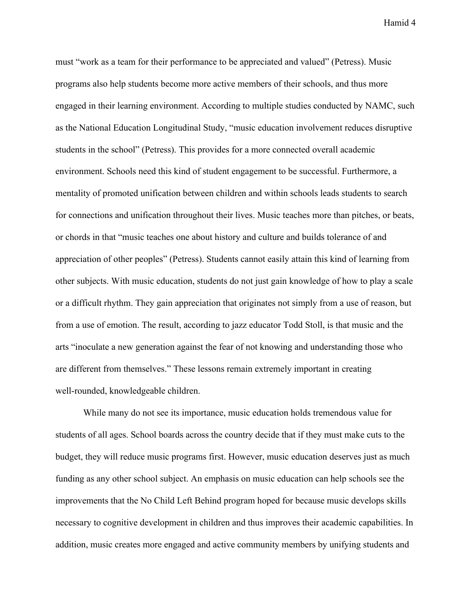must "work as a team for their performance to be appreciated and valued" (Petress). Music programs also help students become more active members of their schools, and thus more engaged in their learning environment. According to multiple studies conducted by NAMC, such as the National Education Longitudinal Study, "music education involvement reduces disruptive students in the school" (Petress). This provides for a more connected overall academic environment. Schools need this kind of student engagement to be successful. Furthermore, a mentality of promoted unification between children and within schools leads students to search for connections and unification throughout their lives. Music teaches more than pitches, or beats, or chords in that "music teaches one about history and culture and builds tolerance of and appreciation of other peoples" (Petress). Students cannot easily attain this kind of learning from other subjects. With music education, students do not just gain knowledge of how to play a scale or a difficult rhythm. They gain appreciation that originates not simply from a use of reason, but from a use of emotion. The result, according to jazz educator Todd Stoll, is that music and the arts "inoculate a new generation against the fear of not knowing and understanding those who are different from themselves." These lessons remain extremely important in creating well-rounded, knowledgeable children.

While many do not see its importance, music education holds tremendous value for students of all ages. School boards across the country decide that if they must make cuts to the budget, they will reduce music programs first. However, music education deserves just as much funding as any other school subject. An emphasis on music education can help schools see the improvements that the No Child Left Behind program hoped for because music develops skills necessary to cognitive development in children and thus improves their academic capabilities. In addition, music creates more engaged and active community members by unifying students and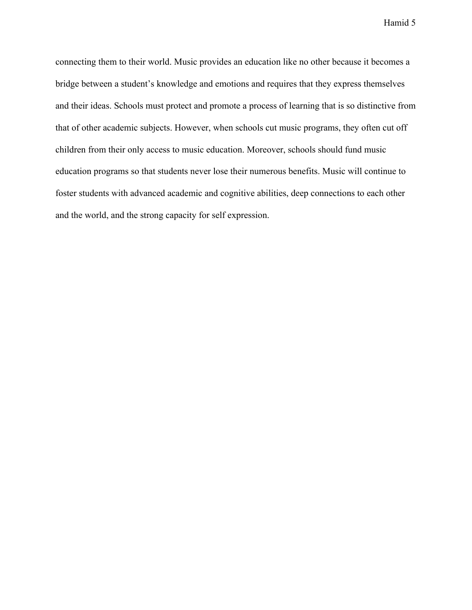connecting them to their world. Music provides an education like no other because it becomes a bridge between a student's knowledge and emotions and requires that they express themselves and their ideas. Schools must protect and promote a process of learning that is so distinctive from that of other academic subjects. However, when schools cut music programs, they often cut off children from their only access to music education. Moreover, schools should fund music education programs so that students never lose their numerous benefits. Music will continue to foster students with advanced academic and cognitive abilities, deep connections to each other and the world, and the strong capacity for self expression.